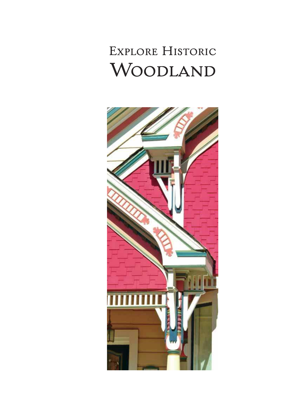# Explore Historic Woodland

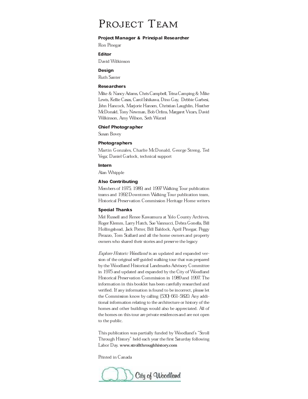## PROJECT TEAM

#### Project Manager & Principal Researcher

Ron Pinegar

#### Editor

David Wilkinson

#### **Design**

Ruth Santer

#### **Researchers**

Mike & Nancy Adams, Chris Campbell, Trina Camping & Mike Lewis, Kellie Casas, Carol Ishikawa, Dino Gay, Debbie Garbesi, John Hancock, Marjorie Hansen, Christian Laughlin, Heather McDonald, Tony Newman, Bob Orlins, Margaret Vicars, David Wilkinson, Amy Wilson, Seth Wurzel

#### Chief Photographer

Susan Bovey

#### Photographers

Martin Gonzales, Charlie McDonald, George Streng, Ted Vega; Daniel Garlock, technical support

#### Intern

Alan Whipple

#### Also Contributing

Members of 1975, 1989, and 1997 Walking Tour publication teams and 1992 Downtown Walking Tour publication team, Historical Preservation Commission Heritage Home writers

#### Special Thanks

Mel Russell and Renee Kawamura at Yolo County Archives, Roger Klemm, Larry Hatch, Sue Vannucci, Debra Gonella, Bill Hollingshead, Jack Potter, Bill Baldock, April Pinegar, Peggy Perazzo, Tom Stallard and all the home owners and property owners who shared their stories and preserve the legacy

Explore Historic Woodland is an updated and expanded version of the original self-guided walking tour that was prepared by the Woodland Historical Landmarks Advisory Committee in 1975 and updated and expanded by the City of Woodland Historical Preservation Commission in 1989 and 1997. The information in this booklet has been carefully researched and verified. If any information is found to be incorrect, please let the Commission know by calling (530) 661-5820. Any additional information relating to the architecture or history of the homes and other buildings would also be appreciated. All of the homes on this tour are private residences and are not open to the public.

This publication was partially funded by Woodland's "Stroll Through History" held each year the first Saturday following Labor Day. www.strollthroughhistory.com

Printed in Canada

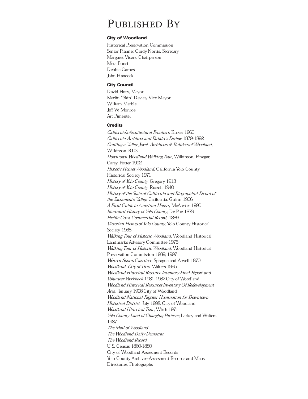### PUBLISHED BY

#### City of Woodland

Historical Preservation Commission Senior Planner Cindy Norris, Secretary Margaret Vicars, Chairperson Meta Bunsi Debbie Garbesi John Hancock

#### **City Council**

David Flory, Mayor Marlin "Skip" Davies, Vice-Mayor William Marble Jeff W. Monroe Art Pimentel

#### **Credits**

California's Architectural Frontiers, Kirker 1960 California Architect and Builder's Review 1879-1892 Crafting a Valley Jewel: Architects & Builders of Woodland, Wilkinson 2003 Downtown Woodland Walking Tour, Wilkinson, Pinegar, Carey, Potter 1992 Historic Homes Woodland, California Yolo County Historical Society 1971 History of Yolo County, Gregory 1913 History of Yolo County, Russell 1940 History of the State of California and Biographical Record of the Sacramento Valley, California, Guinn 1906 A Field Guide to American Houses, McAlester 1990 Illustrated History of Yolo County, De Pue 1879 Pacific Coast Commercial Record, 1889 Victorian Homes of Yolo County, Yolo County Historical Society 1968 Walking Tour of Historic Woodland, Woodland Historical Landmarks Advisory Committee 1975 Walking Tour of Historic Woodland, Woodland Historical Preservation Commission 1989, 1997 Western Shores Gazetteer, Sprague and Atwell 1870 Woodland: City of Trees, Walters 1995 Woodland Historical Resource Inventory Final Report and Volunteer Workbook 1981-1982 City of Woodland Woodland Historical Resources Inventory Of Redevelopment Area, January 1998 City of Woodland Woodland National Register Nomination for Downtown Historical District, July 1998, City of Woodland Woodland Historical Tour, Wirth 1971 Yolo County Land of Changing Patterns, Larkey and Walters 1987 The Mail of Woodland The Woodland Daily Democrat The Woodland Record U.S. Census 1860-1880 City of Woodland Assessment Records Yolo County Archives-Assessment Records and Maps, Directories, Photographs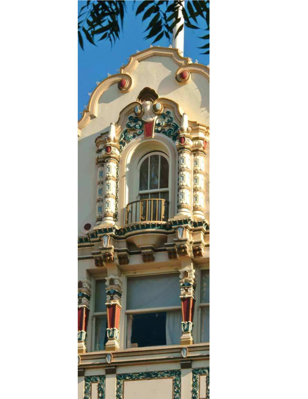